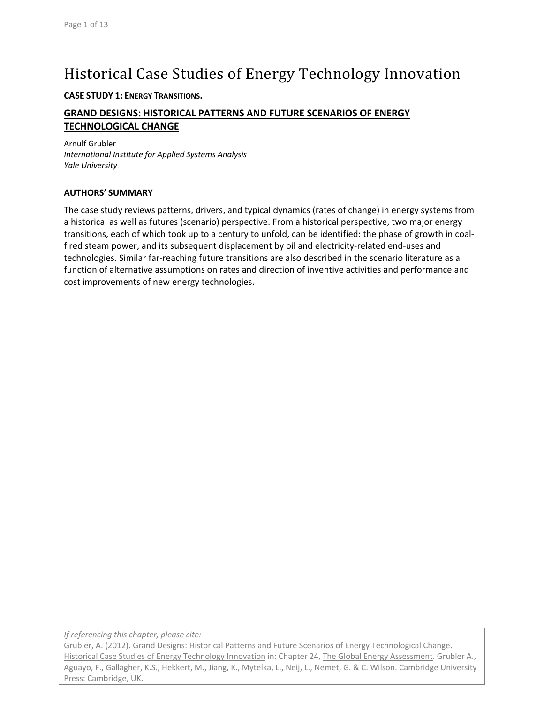# Historical Case Studies of Energy Technology Innovation

**CASE STUDY 1: ENERGY TRANSITIONS.**

### **GRAND DESIGNS: HISTORICAL PATTERNS AND FUTURE SCENARIOS OF ENERGY TECHNOLOGICAL CHANGE**

Arnulf Grubler *International Institute for Applied Systems Analysis Yale University*

### **AUTHORS' SUMMARY**

The case study reviews patterns, drivers, and typical dynamics (rates of change) in energy systems from a historical as well as futures (scenario) perspective. From a historical perspective, two major energy transitions, each of which took up to a century to unfold, can be identified: the phase of growth in coal‐ fired steam power, and its subsequent displacement by oil and electricity-related end-uses and technologies. Similar far‐reaching future transitions are also described in the scenario literature as a function of alternative assumptions on rates and direction of inventive activities and performance and cost improvements of new energy technologies.

*If referencing this chapter, please cite:*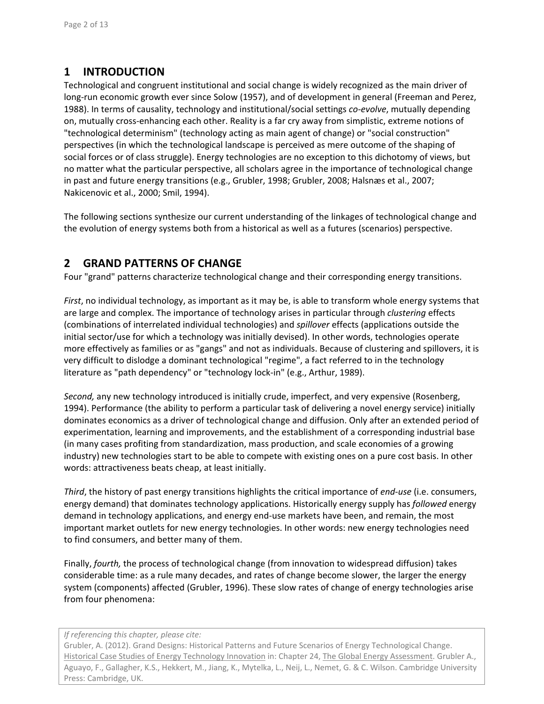# **1 INTRODUCTION**

Technological and congruent institutional and social change is widely recognized as the main driver of long-run economic growth ever since Solow (1957), and of development in general (Freeman and Perez, 1988). In terms of causality, technology and institutional/social settings *co‐evolve*, mutually depending on, mutually cross-enhancing each other. Reality is a far cry away from simplistic, extreme notions of "technological determinism" (technology acting as main agent of change) or "social construction" perspectives (in which the technological landscape is perceived as mere outcome of the shaping of social forces or of class struggle). Energy technologies are no exception to this dichotomy of views, but no matter what the particular perspective, all scholars agree in the importance of technological change in past and future energy transitions (e.g., Grubler, 1998; Grubler, 2008; Halsnæs et al., 2007; Nakicenovic et al., 2000; Smil, 1994).

The following sections synthesize our current understanding of the linkages of technological change and the evolution of energy systems both from a historical as well as a futures (scenarios) perspective.

## **2 GRAND PATTERNS OF CHANGE**

Four "grand" patterns characterize technological change and their corresponding energy transitions.

*First*, no individual technology, as important as it may be, is able to transform whole energy systems that are large and complex. The importance of technology arises in particular through *clustering* effects (combinations of interrelated individual technologies) and *spillover* effects (applications outside the initial sector/use for which a technology was initially devised). In other words, technologies operate more effectively as families or as "gangs" and not as individuals. Because of clustering and spillovers, it is very difficult to dislodge a dominant technological "regime", a fact referred to in the technology literature as "path dependency" or "technology lock‐in" (e.g., Arthur, 1989).

*Second,* any new technology introduced is initially crude, imperfect, and very expensive (Rosenberg, 1994). Performance (the ability to perform a particular task of delivering a novel energy service) initially dominates economics as a driver of technological change and diffusion. Only after an extended period of experimentation, learning and improvements, and the establishment of a corresponding industrial base (in many cases profiting from standardization, mass production, and scale economies of a growing industry) new technologies start to be able to compete with existing ones on a pure cost basis. In other words: attractiveness beats cheap, at least initially.

*Third*, the history of past energy transitions highlights the critical importance of *end‐use* (i.e. consumers, energy demand) that dominates technology applications. Historically energy supply has *followed* energy demand in technology applications, and energy end‐use markets have been, and remain, the most important market outlets for new energy technologies. In other words: new energy technologies need to find consumers, and better many of them.

Finally, *fourth,* the process of technological change (from innovation to widespread diffusion) takes considerable time: as a rule many decades, and rates of change become slower, the larger the energy system (components) affected (Grubler, 1996). These slow rates of change of energy technologies arise from four phenomena:

#### *If referencing this chapter, please cite:*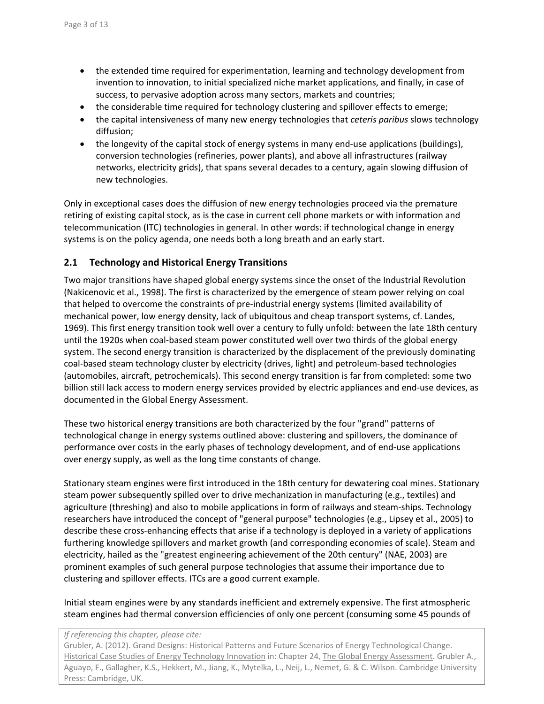- the extended time required for experimentation, learning and technology development from invention to innovation, to initial specialized niche market applications, and finally, in case of success, to pervasive adoption across many sectors, markets and countries;
- the considerable time required for technology clustering and spillover effects to emerge;
- the capital intensiveness of many new energy technologies that *ceteris paribus* slows technology diffusion;
- the longevity of the capital stock of energy systems in many end-use applications (buildings), conversion technologies (refineries, power plants), and above all infrastructures (railway networks, electricity grids), that spans several decades to a century, again slowing diffusion of new technologies.

Only in exceptional cases does the diffusion of new energy technologies proceed via the premature retiring of existing capital stock, as is the case in current cell phone markets or with information and telecommunication (ITC) technologies in general. In other words: if technological change in energy systems is on the policy agenda, one needs both a long breath and an early start.

### **2.1 Technology and Historical Energy Transitions**

Two major transitions have shaped global energy systems since the onset of the Industrial Revolution (Nakicenovic et al., 1998). The first is characterized by the emergence of steam power relying on coal that helped to overcome the constraints of pre‐industrial energy systems (limited availability of mechanical power, low energy density, lack of ubiquitous and cheap transport systems, cf. Landes, 1969). This first energy transition took well over a century to fully unfold: between the late 18th century until the 1920s when coal‐based steam power constituted well over two thirds of the global energy system. The second energy transition is characterized by the displacement of the previously dominating coal‐based steam technology cluster by electricity (drives, light) and petroleum‐based technologies (automobiles, aircraft, petrochemicals). This second energy transition is far from completed: some two billion still lack access to modern energy services provided by electric appliances and end‐use devices, as documented in the Global Energy Assessment.

These two historical energy transitions are both characterized by the four "grand" patterns of technological change in energy systems outlined above: clustering and spillovers, the dominance of performance over costs in the early phases of technology development, and of end‐use applications over energy supply, as well as the long time constants of change.

Stationary steam engines were first introduced in the 18th century for dewatering coal mines. Stationary steam power subsequently spilled over to drive mechanization in manufacturing (e.g., textiles) and agriculture (threshing) and also to mobile applications in form of railways and steam‐ships. Technology researchers have introduced the concept of "general purpose" technologies (e.g., Lipsey et al., 2005) to describe these cross-enhancing effects that arise if a technology is deployed in a variety of applications furthering knowledge spillovers and market growth (and corresponding economies of scale). Steam and electricity, hailed as the "greatest engineering achievement of the 20th century" (NAE, 2003) are prominent examples of such general purpose technologies that assume their importance due to clustering and spillover effects. ITCs are a good current example.

Initial steam engines were by any standards inefficient and extremely expensive. The first atmospheric steam engines had thermal conversion efficiencies of only one percent (consuming some 45 pounds of

#### *If referencing this chapter, please cite:*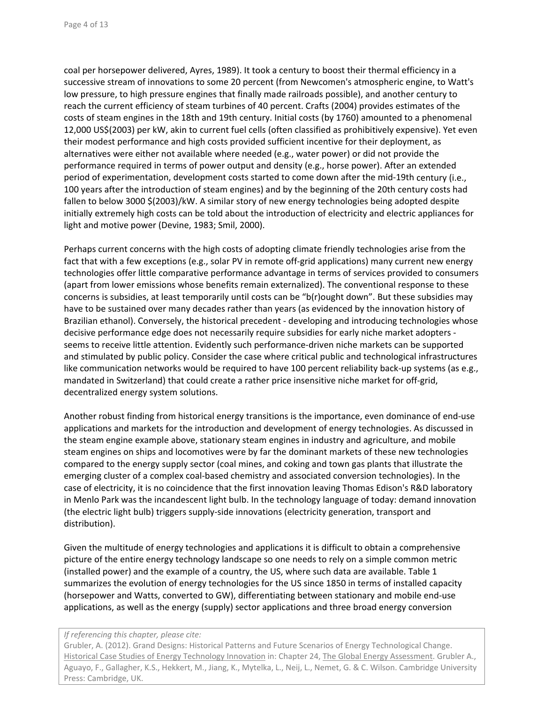coal per horsepower delivered, Ayres, 1989). It took a century to boost their thermal efficiency in a successive stream of innovations to some 20 percent (from Newcomen's atmospheric engine, to Watt's low pressure, to high pressure engines that finally made railroads possible), and another century to reach the current efficiency of steam turbines of 40 percent. Crafts (2004) provides estimates of the costs of steam engines in the 18th and 19th century. Initial costs (by 1760) amounted to a phenomenal 12,000 US\$(2003) per kW, akin to current fuel cells (often classified as prohibitively expensive). Yet even their modest performance and high costs provided sufficient incentive for their deployment, as alternatives were either not available where needed (e.g., water power) or did not provide the performance required in terms of power output and density (e.g., horse power). After an extended period of experimentation, development costs started to come down after the mid‐19th century (i.e., 100 years after the introduction of steam engines) and by the beginning of the 20th century costs had fallen to below 3000 \$(2003)/kW. A similar story of new energy technologies being adopted despite initially extremely high costs can be told about the introduction of electricity and electric appliances for light and motive power (Devine, 1983; Smil, 2000).

Perhaps current concerns with the high costs of adopting climate friendly technologies arise from the fact that with a few exceptions (e.g., solar PV in remote off-grid applications) many current new energy technologies offer little comparative performance advantage in terms of services provided to consumers (apart from lower emissions whose benefits remain externalized). The conventional response to these concerns is subsidies, at least temporarily until costs can be "b(r)ought down". But these subsidies may have to be sustained over many decades rather than years (as evidenced by the innovation history of Brazilian ethanol). Conversely, the historical precedent ‐ developing and introducing technologies whose decisive performance edge does not necessarily require subsidies for early niche market adopters ‐ seems to receive little attention. Evidently such performance‐driven niche markets can be supported and stimulated by public policy. Consider the case where critical public and technological infrastructures like communication networks would be required to have 100 percent reliability back-up systems (as e.g., mandated in Switzerland) that could create a rather price insensitive niche market for off‐grid, decentralized energy system solutions.

Another robust finding from historical energy transitions is the importance, even dominance of end‐use applications and markets for the introduction and development of energy technologies. As discussed in the steam engine example above, stationary steam engines in industry and agriculture, and mobile steam engines on ships and locomotives were by far the dominant markets of these new technologies compared to the energy supply sector (coal mines, and coking and town gas plants that illustrate the emerging cluster of a complex coal‐based chemistry and associated conversion technologies). In the case of electricity, it is no coincidence that the first innovation leaving Thomas Edison's R&D laboratory in Menlo Park was the incandescent light bulb. In the technology language of today: demand innovation (the electric light bulb) triggers supply‐side innovations (electricity generation, transport and distribution).

Given the multitude of energy technologies and applications it is difficult to obtain a comprehensive picture of the entire energy technology landscape so one needs to rely on a simple common metric (installed power) and the example of a country, the US, where such data are available. Table 1 summarizes the evolution of energy technologies for the US since 1850 in terms of installed capacity (horsepower and Watts, converted to GW), differentiating between stationary and mobile end‐use applications, as well as the energy (supply) sector applications and three broad energy conversion

#### *If referencing this chapter, please cite:*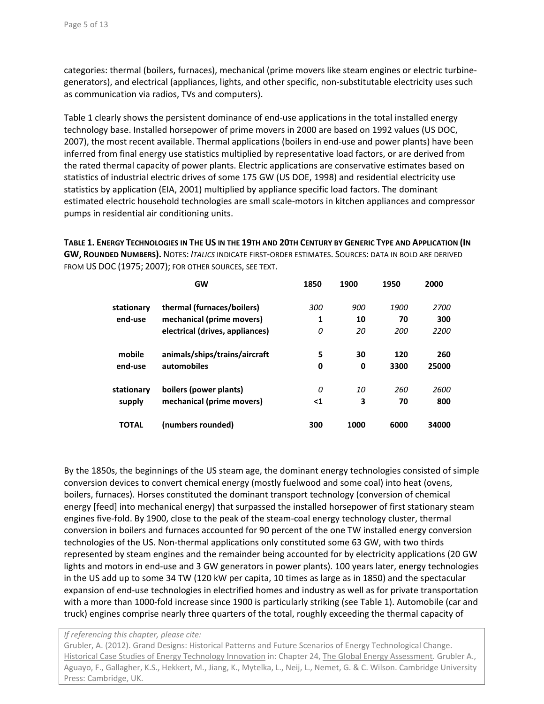categories: thermal (boilers, furnaces), mechanical (prime movers like steam engines or electric turbine‐ generators), and electrical (appliances, lights, and other specific, non-substitutable electricity uses such as communication via radios, TVs and computers).

Table 1 clearly shows the persistent dominance of end-use applications in the total installed energy technology base. Installed horsepower of prime movers in 2000 are based on 1992 values (US DOC, 2007), the most recent available. Thermal applications (boilers in end-use and power plants) have been inferred from final energy use statistics multiplied by representative load factors, or are derived from the rated thermal capacity of power plants. Electric applications are conservative estimates based on statistics of industrial electric drives of some 175 GW (US DOE, 1998) and residential electricity use statistics by application (EIA, 2001) multiplied by appliance specific load factors. The dominant estimated electric household technologies are small scale‐motors in kitchen appliances and compressor pumps in residential air conditioning units.

TABLE 1. ENERGY TECHNOLOGIES IN THE US IN THE 19TH AND 20TH CENTURY BY GENERIC TYPE AND APPLICATION (IN **GW, ROUNDED NUMBERS).** NOTES: *ITALICS* INDICATE FIRST‐ORDER ESTIMATES. SOURCES: DATA IN BOLD ARE DERIVED FROM US DOC (1975; 2007); FOR OTHER SOURCES, SEE TEXT.

|              | <b>GW</b>                       | 1850     | 1900 | 1950 | 2000  |
|--------------|---------------------------------|----------|------|------|-------|
| stationary   | thermal (furnaces/boilers)      | 300      | 900  | 1900 | 2700  |
| end-use      | mechanical (prime movers)       | 1        | 10   | 70   | 300   |
|              | electrical (drives, appliances) | 0        | 20   | 200  | 2200  |
| mobile       | animals/ships/trains/aircraft   | 5        | 30   | 120  | 260   |
| end-use      | automobiles                     | 0        | 0    | 3300 | 25000 |
| stationary   | boilers (power plants)          | 0        | 10   | 260  | 2600  |
| supply       | mechanical (prime movers)       | $\leq$ 1 | 3    | 70   | 800   |
| <b>TOTAL</b> | (numbers rounded)               | 300      | 1000 | 6000 | 34000 |

By the 1850s, the beginnings of the US steam age, the dominant energy technologies consisted of simple conversion devices to convert chemical energy (mostly fuelwood and some coal) into heat (ovens, boilers, furnaces). Horses constituted the dominant transport technology (conversion of chemical energy [feed] into mechanical energy) that surpassed the installed horsepower of first stationary steam engines five‐fold. By 1900, close to the peak of the steam‐coal energy technology cluster, thermal conversion in boilers and furnaces accounted for 90 percent of the one TW installed energy conversion technologies of the US. Non-thermal applications only constituted some 63 GW, with two thirds represented by steam engines and the remainder being accounted for by electricity applications (20 GW lights and motors in end‐use and 3 GW generators in power plants). 100 years later, energy technologies in the US add up to some 34 TW (120 kW per capita, 10 times as large as in 1850) and the spectacular expansion of end‐use technologies in electrified homes and industry as well as for private transportation with a more than 1000-fold increase since 1900 is particularly striking (see Table 1). Automobile (car and truck) engines comprise nearly three quarters of the total, roughly exceeding the thermal capacity of

*If referencing this chapter, please cite:*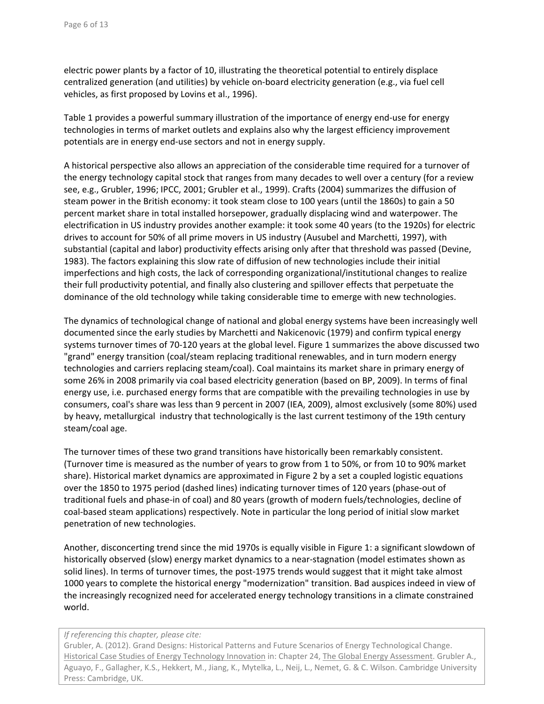electric power plants by a factor of 10, illustrating the theoretical potential to entirely displace centralized generation (and utilities) by vehicle on‐board electricity generation (e.g., via fuel cell vehicles, as first proposed by Lovins et al., 1996).

Table 1 provides a powerful summary illustration of the importance of energy end‐use for energy technologies in terms of market outlets and explains also why the largest efficiency improvement potentials are in energy end‐use sectors and not in energy supply.

A historical perspective also allows an appreciation of the considerable time required for a turnover of the energy technology capital stock that ranges from many decades to well over a century (for a review see, e.g., Grubler, 1996; IPCC, 2001; Grubler et al., 1999). Crafts (2004) summarizes the diffusion of steam power in the British economy: it took steam close to 100 years (until the 1860s) to gain a 50 percent market share in total installed horsepower, gradually displacing wind and waterpower. The electrification in US industry provides another example: it took some 40 years (to the 1920s) for electric drives to account for 50% of all prime movers in US industry (Ausubel and Marchetti, 1997), with substantial (capital and labor) productivity effects arising only after that threshold was passed (Devine, 1983). The factors explaining this slow rate of diffusion of new technologies include their initial imperfections and high costs, the lack of corresponding organizational/institutional changes to realize their full productivity potential, and finally also clustering and spillover effects that perpetuate the dominance of the old technology while taking considerable time to emerge with new technologies.

The dynamics of technological change of national and global energy systems have been increasingly well documented since the early studies by Marchetti and Nakicenovic (1979) and confirm typical energy systems turnover times of 70‐120 years at the global level. Figure 1 summarizes the above discussed two "grand" energy transition (coal/steam replacing traditional renewables, and in turn modern energy technologies and carriers replacing steam/coal). Coal maintains its market share in primary energy of some 26% in 2008 primarily via coal based electricity generation (based on BP, 2009). In terms of final energy use, i.e. purchased energy forms that are compatible with the prevailing technologies in use by consumers, coal's share was less than 9 percent in 2007 (IEA, 2009), almost exclusively (some 80%) used by heavy, metallurgical industry that technologically is the last current testimony of the 19th century steam/coal age.

The turnover times of these two grand transitions have historically been remarkably consistent. (Turnover time is measured as the number of years to grow from 1 to 50%, or from 10 to 90% market share). Historical market dynamics are approximated in Figure 2 by a set a coupled logistic equations over the 1850 to 1975 period (dashed lines) indicating turnover times of 120 years (phase-out of traditional fuels and phase‐in of coal) and 80 years (growth of modern fuels/technologies, decline of coal‐based steam applications) respectively. Note in particular the long period of initial slow market penetration of new technologies.

Another, disconcerting trend since the mid 1970s is equally visible in Figure 1: a significant slowdown of historically observed (slow) energy market dynamics to a near-stagnation (model estimates shown as solid lines). In terms of turnover times, the post-1975 trends would suggest that it might take almost 1000 years to complete the historical energy "modernization" transition. Bad auspices indeed in view of the increasingly recognized need for accelerated energy technology transitions in a climate constrained world.

#### *If referencing this chapter, please cite:*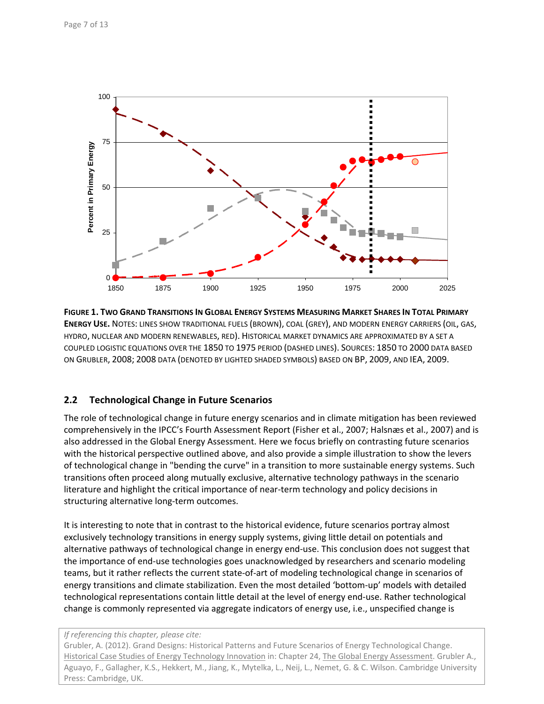

**FIGURE 1. TWO GRAND TRANSITIONS IN GLOBAL ENERGY SYSTEMS MEASURING MARKET SHARES IN TOTAL PRIMARY ENERGY USE.** NOTES: LINES SHOW TRADITIONAL FUELS (BROWN), COAL (GREY), AND MODERN ENERGY CARRIERS (OIL, GAS, HYDRO, NUCLEAR AND MODERN RENEWABLES, RED). HISTORICAL MARKET DYNAMICS ARE APPROXIMATED BY A SET A COUPLED LOGISTIC EQUATIONS OVER THE 1850 TO 1975 PERIOD (DASHED LINES). SOURCES: 1850 TO 2000 DATA BASED ON GRUBLER, 2008; 2008 DATA (DENOTED BY LIGHTED SHADED SYMBOLS) BASED ON BP, 2009, AND IEA, 2009.

### **2.2 Technological Change in Future Scenarios**

The role of technological change in future energy scenarios and in climate mitigation has been reviewed comprehensively in the IPCC's Fourth Assessment Report (Fisher et al., 2007; Halsnæs et al., 2007) and is also addressed in the Global Energy Assessment. Here we focus briefly on contrasting future scenarios with the historical perspective outlined above, and also provide a simple illustration to show the levers of technological change in "bending the curve" in a transition to more sustainable energy systems. Such transitions often proceed along mutually exclusive, alternative technology pathways in the scenario literature and highlight the critical importance of near‐term technology and policy decisions in structuring alternative long‐term outcomes.

It is interesting to note that in contrast to the historical evidence, future scenarios portray almost exclusively technology transitions in energy supply systems, giving little detail on potentials and alternative pathways of technological change in energy end‐use. This conclusion does not suggest that the importance of end‐use technologies goes unacknowledged by researchers and scenario modeling teams, but it rather reflects the current state‐of‐art of modeling technological change in scenarios of energy transitions and climate stabilization. Even the most detailed 'bottom‐up' models with detailed technological representations contain little detail at the level of energy end‐use. Rather technological change is commonly represented via aggregate indicators of energy use, i.e., unspecified change is

#### *If referencing this chapter, please cite:*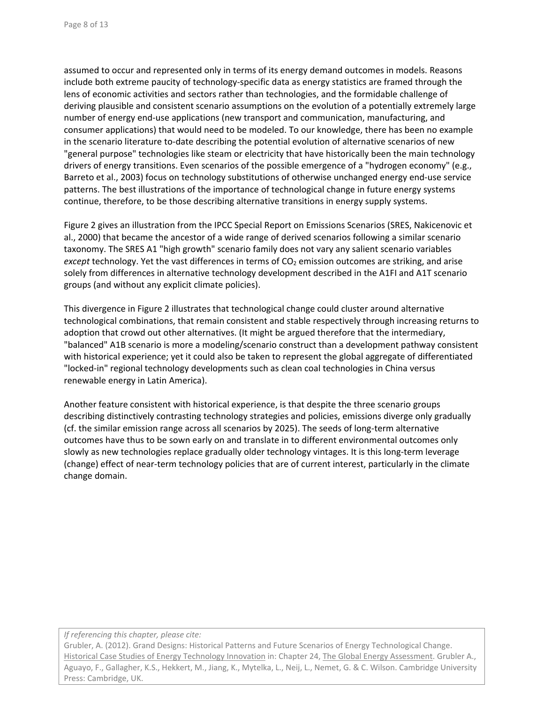assumed to occur and represented only in terms of its energy demand outcomes in models. Reasons include both extreme paucity of technology‐specific data as energy statistics are framed through the lens of economic activities and sectors rather than technologies, and the formidable challenge of deriving plausible and consistent scenario assumptions on the evolution of a potentially extremely large number of energy end‐use applications (new transport and communication, manufacturing, and consumer applications) that would need to be modeled. To our knowledge, there has been no example in the scenario literature to-date describing the potential evolution of alternative scenarios of new "general purpose" technologies like steam or electricity that have historically been the main technology drivers of energy transitions. Even scenarios of the possible emergence of a "hydrogen economy" (e.g., Barreto et al., 2003) focus on technology substitutions of otherwise unchanged energy end‐use service patterns. The best illustrations of the importance of technological change in future energy systems continue, therefore, to be those describing alternative transitions in energy supply systems.

Figure 2 gives an illustration from the IPCC Special Report on Emissions Scenarios (SRES, Nakicenovic et al., 2000) that became the ancestor of a wide range of derived scenarios following a similar scenario taxonomy. The SRES A1 "high growth" scenario family does not vary any salient scenario variables *except* technology. Yet the vast differences in terms of CO<sub>2</sub> emission outcomes are striking, and arise solely from differences in alternative technology development described in the A1FI and A1T scenario groups (and without any explicit climate policies).

This divergence in Figure 2 illustrates that technological change could cluster around alternative technological combinations, that remain consistent and stable respectively through increasing returns to adoption that crowd out other alternatives. (It might be argued therefore that the intermediary, "balanced" A1B scenario is more a modeling/scenario construct than a development pathway consistent with historical experience; yet it could also be taken to represent the global aggregate of differentiated "locked‐in" regional technology developments such as clean coal technologies in China versus renewable energy in Latin America).

Another feature consistent with historical experience, is that despite the three scenario groups describing distinctively contrasting technology strategies and policies, emissions diverge only gradually (cf. the similar emission range across all scenarios by 2025). The seeds of long‐term alternative outcomes have thus to be sown early on and translate in to different environmental outcomes only slowly as new technologies replace gradually older technology vintages. It is this long‐term leverage (change) effect of near‐term technology policies that are of current interest, particularly in the climate change domain.

*If referencing this chapter, please cite:*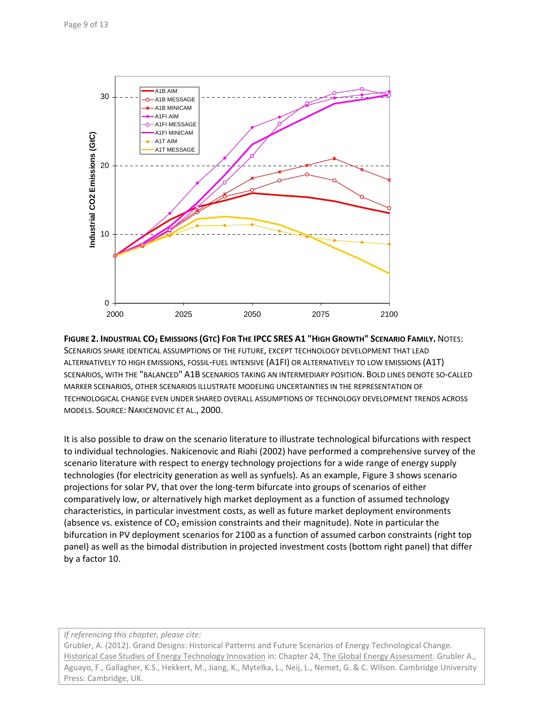



It is also possible to draw on the scenario literature to illustrate technological bifurcations with respect to individual technologies. Nakicenovic and Riahi (2002) have performed a comprehensive survey of the scenario literature with respect to energy technology projections for a wide range of energy supply technologies (for electricity generation as well as synfuels). As an example, Figure 3 shows scenario projections for solar PV, that over the long‐term bifurcate into groups of scenarios of either comparatively low, or alternatively high market deployment as a function of assumed technology characteristics, in particular investment costs, as well as future market deployment environments (absence vs. existence of  $CO<sub>2</sub>$  emission constraints and their magnitude). Note in particular the bifurcation in PV deployment scenarios for 2100 as a function of assumed carbon constraints (right top panel) as well as the bimodal distribution in projected investment costs (bottom right panel) that differ by a factor 10.

*If referencing this chapter, please cite:*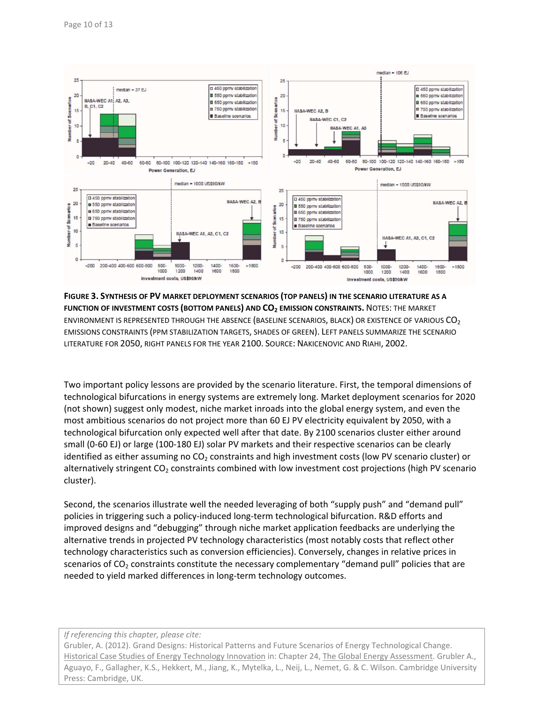![](_page_9_Figure_1.jpeg)

**FIGURE 3. SYNTHESIS OF PV MARKET DEPLOYMENT SCENARIOS (TOP PANELS) IN THE SCENARIO LITERATURE AS A FUNCTION OF INVESTMENT COSTS (BOTTOM PANELS) AND CO2 EMISSION CONSTRAINTS.** NOTES: THE MARKET ENVIRONMENT IS REPRESENTED THROUGH THE ABSENCE (BASELINE SCENARIOS, BLACK) OR EXISTENCE OF VARIOUS  $CO<sub>2</sub>$ EMISSIONS CONSTRAINTS (PPM STABILIZATION TARGETS, SHADES OF GREEN). LEFT PANELS SUMMARIZE THE SCENARIO LITERATURE FOR 2050, RIGHT PANELS FOR THE YEAR 2100. SOURCE: NAKICENOVIC AND RIAHI, 2002.

Two important policy lessons are provided by the scenario literature. First, the temporal dimensions of technological bifurcations in energy systems are extremely long. Market deployment scenarios for 2020 (not shown) suggest only modest, niche market inroads into the global energy system, and even the most ambitious scenarios do not project more than 60 EJ PV electricity equivalent by 2050, with a technological bifurcation only expected well after that date. By 2100 scenarios cluster either around small (0-60 EJ) or large (100-180 EJ) solar PV markets and their respective scenarios can be clearly identified as either assuming no  $CO<sub>2</sub>$  constraints and high investment costs (low PV scenario cluster) or alternatively stringent CO<sub>2</sub> constraints combined with low investment cost projections (high PV scenario cluster).

Second, the scenarios illustrate well the needed leveraging of both "supply push" and "demand pull" policies in triggering such a policy‐induced long‐term technological bifurcation. R&D efforts and improved designs and "debugging" through niche market application feedbacks are underlying the alternative trends in projected PV technology characteristics (most notably costs that reflect other technology characteristics such as conversion efficiencies). Conversely, changes in relative prices in scenarios of CO<sub>2</sub> constraints constitute the necessary complementary "demand pull" policies that are needed to yield marked differences in long‐term technology outcomes.

*If referencing this chapter, please cite:*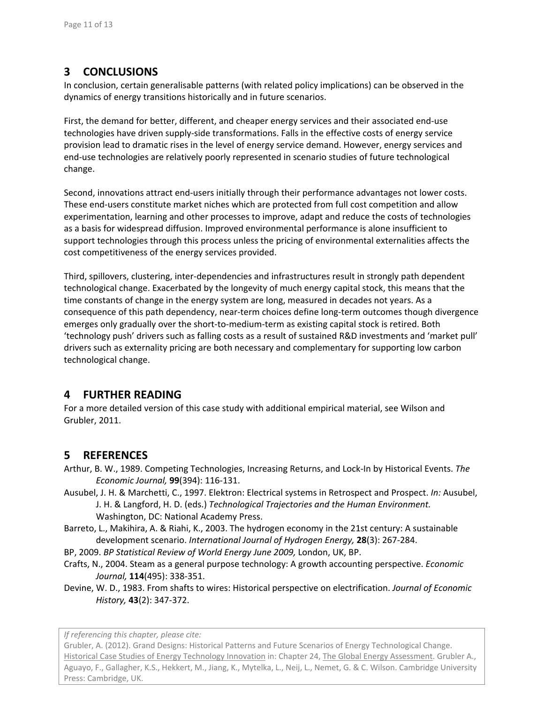# **3 CONCLUSIONS**

In conclusion, certain generalisable patterns (with related policy implications) can be observed in the dynamics of energy transitions historically and in future scenarios.

First, the demand for better, different, and cheaper energy services and their associated end‐use technologies have driven supply‐side transformations. Falls in the effective costs of energy service provision lead to dramatic rises in the level of energy service demand. However, energy services and end‐use technologies are relatively poorly represented in scenario studies of future technological change.

Second, innovations attract end‐users initially through their performance advantages not lower costs. These end‐users constitute market niches which are protected from full cost competition and allow experimentation, learning and other processes to improve, adapt and reduce the costs of technologies as a basis for widespread diffusion. Improved environmental performance is alone insufficient to support technologies through this process unless the pricing of environmental externalities affects the cost competitiveness of the energy services provided.

Third, spillovers, clustering, inter‐dependencies and infrastructures result in strongly path dependent technological change. Exacerbated by the longevity of much energy capital stock, this means that the time constants of change in the energy system are long, measured in decades not years. As a consequence of this path dependency, near-term choices define long-term outcomes though divergence emerges only gradually over the short-to-medium-term as existing capital stock is retired. Both 'technology push' drivers such as falling costs as a result of sustained R&D investments and 'market pull' drivers such as externality pricing are both necessary and complementary for supporting low carbon technological change.

# **4 FURTHER READING**

For a more detailed version of this case study with additional empirical material, see Wilson and Grubler, 2011.

### **5 REFERENCES**

Arthur, B. W., 1989. Competing Technologies, Increasing Returns, and Lock‐In by Historical Events. *The Economic Journal,* **99**(394): 116‐131.

- Ausubel, J. H. & Marchetti, C., 1997. Elektron: Electrical systems in Retrospect and Prospect. *In:* Ausubel, J. H. & Langford, H. D. (eds.) *Technological Trajectories and the Human Environment.* Washington, DC: National Academy Press.
- Barreto, L., Makihira, A. & Riahi, K., 2003. The hydrogen economy in the 21st century: A sustainable development scenario. *International Journal of Hydrogen Energy,* **28**(3): 267‐284.
- BP, 2009. *BP Statistical Review of World Energy June 2009,* London, UK, BP.
- Crafts, N., 2004. Steam as a general purpose technology: A growth accounting perspective. *Economic Journal,* **114**(495): 338‐351.
- Devine, W. D., 1983. From shafts to wires: Historical perspective on electrification. *Journal of Economic History,* **43**(2): 347‐372.

*If referencing this chapter, please cite:*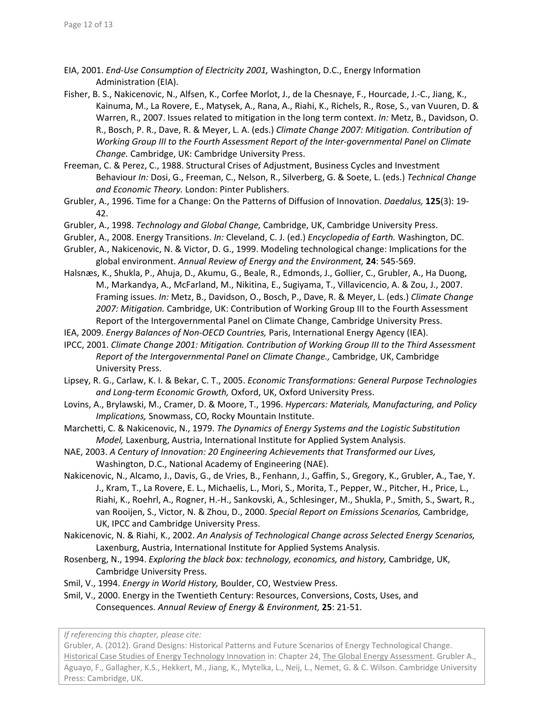- EIA, 2001. *End‐Use Consumption of Electricity 2001,* Washington, D.C., Energy Information Administration (EIA).
- Fisher, B. S., Nakicenovic, N., Alfsen, K., Corfee Morlot, J., de la Chesnaye, F., Hourcade, J.‐C., Jiang, K., Kainuma, M., La Rovere, E., Matysek, A., Rana, A., Riahi, K., Richels, R., Rose, S., van Vuuren, D. & Warren, R., 2007. Issues related to mitigation in the long term context. *In:* Metz, B., Davidson, O. R., Bosch, P. R., Dave, R. & Meyer, L. A. (eds.) *Climate Change 2007: Mitigation. Contribution of Working Group III to the Fourth Assessment Report of the Inter‐governmental Panel on Climate Change.* Cambridge, UK: Cambridge University Press.
- Freeman, C. & Perez, C., 1988. Structural Crises of Adjustment, Business Cycles and Investment Behaviour *In:* Dosi, G., Freeman, C., Nelson, R., Silverberg, G. & Soete, L. (eds.) *Technical Change and Economic Theory.* London: Pinter Publishers.
- Grubler, A., 1996. Time for a Change: On the Patterns of Diffusion of Innovation. *Daedalus,* **125**(3): 19‐ 42.
- Grubler, A., 1998. *Technology and Global Change,* Cambridge, UK, Cambridge University Press.
- Grubler, A., 2008. Energy Transitions. *In:* Cleveland, C. J. (ed.) *Encyclopedia of Earth.* Washington, DC.
- Grubler, A., Nakicenovic, N. & Victor, D. G., 1999. Modeling technological change: Implications for the global environment. *Annual Review of Energy and the Environment,* **24**: 545‐569.
- Halsnæs, K., Shukla, P., Ahuja, D., Akumu, G., Beale, R., Edmonds, J., Gollier, C., Grubler, A., Ha Duong, M., Markandya, A., McFarland, M., Nikitina, E., Sugiyama, T., Villavicencio, A. & Zou, J., 2007. Framing issues. *In:* Metz, B., Davidson, O., Bosch, P., Dave, R. & Meyer, L. (eds.) *Climate Change 2007: Mitigation.* Cambridge, UK: Contribution of Working Group III to the Fourth Assessment Report of the Intergovernmental Panel on Climate Change, Cambridge University Press.
- IEA, 2009. *Energy Balances of Non‐OECD Countries,* Paris, International Energy Agency (IEA).
- IPCC, 2001. *Climate Change 2001: Mitigation. Contribution of Working Group III to the Third Assessment Report of the Intergovernmental Panel on Climate Change.,* Cambridge, UK, Cambridge University Press.
- Lipsey, R. G., Carlaw, K. I. & Bekar, C. T., 2005. *Economic Transformations: General Purpose Technologies and Long‐term Economic Growth,* Oxford, UK, Oxford University Press.
- Lovins, A., Brylawski, M., Cramer, D. & Moore, T., 1996. *Hypercars: Materials, Manufacturing, and Policy Implications,* Snowmass, CO, Rocky Mountain Institute.
- Marchetti, C. & Nakicenovic, N., 1979. *The Dynamics of Energy Systems and the Logistic Substitution Model,* Laxenburg, Austria, International Institute for Applied System Analysis.
- NAE, 2003. *A Century of Innovation: 20 Engineering Achievements that Transformed our Lives,* Washington, D.C., National Academy of Engineering (NAE).
- Nakicenovic, N., Alcamo, J., Davis, G., de Vries, B., Fenhann, J., Gaffin, S., Gregory, K., Grubler, A., Tae, Y. J., Kram, T., La Rovere, E. L., Michaelis, L., Mori, S., Morita, T., Pepper, W., Pitcher, H., Price, L., Riahi, K., Roehrl, A., Rogner, H.‐H., Sankovski, A., Schlesinger, M., Shukla, P., Smith, S., Swart, R., van Rooijen, S., Victor, N. & Zhou, D., 2000. *Special Report on Emissions Scenarios,* Cambridge, UK, IPCC and Cambridge University Press.
- Nakicenovic, N. & Riahi, K., 2002. *An Analysis of Technological Change across Selected Energy Scenarios,* Laxenburg, Austria, International Institute for Applied Systems Analysis.
- Rosenberg, N., 1994. *Exploring the black box: technology, economics, and history,* Cambridge, UK, Cambridge University Press.
- Smil, V., 1994. *Energy in World History,* Boulder, CO, Westview Press.
- Smil, V., 2000. Energy in the Twentieth Century: Resources, Conversions, Costs, Uses, and Consequences. *Annual Review of Energy & Environment,* **25**: 21‐51.

*If referencing this chapter, please cite:*